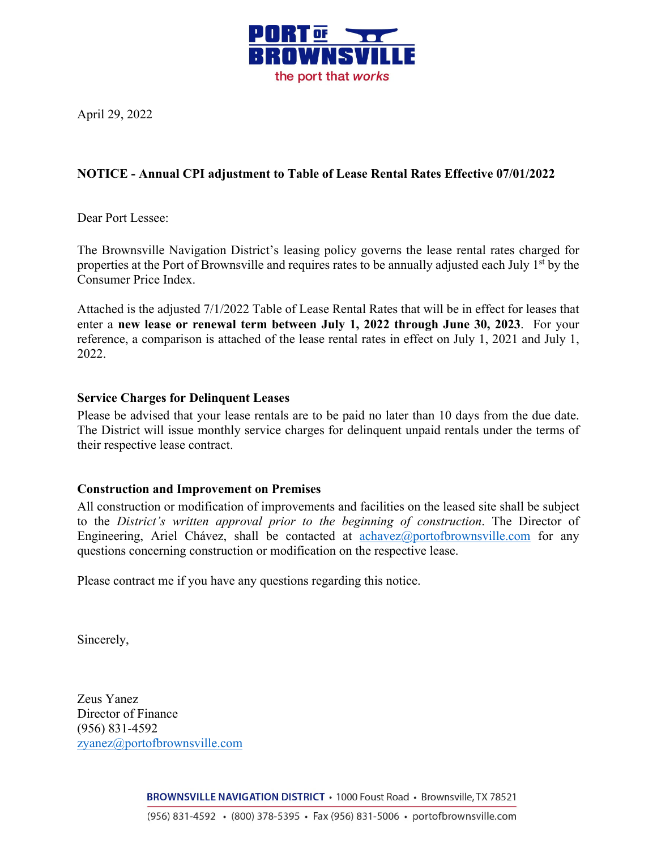

April 29, 2022

## **NOTICE - Annual CPI adjustment to Table of Lease Rental Rates Effective 07/01/2022**

Dear Port Lessee:

The Brownsville Navigation District's leasing policy governs the lease rental rates charged for properties at the Port of Brownsville and requires rates to be annually adjusted each July 1<sup>st</sup> by the Consumer Price Index.

Attached is the adjusted 7/1/2022 Table of Lease Rental Rates that will be in effect for leases that enter a **new lease or renewal term between July 1, 2022 through June 30, 2023**. For your reference, a comparison is attached of the lease rental rates in effect on July 1, 2021 and July 1, 2022.

## **Service Charges for Delinquent Leases**

Please be advised that your lease rentals are to be paid no later than 10 days from the due date. The District will issue monthly service charges for delinquent unpaid rentals under the terms of their respective lease contract.

## **Construction and Improvement on Premises**

All construction or modification of improvements and facilities on the leased site shall be subject to the *District's written approval prior to the beginning of construction*. The Director of Engineering, Ariel Chávez, shall be contacted at  $\frac{achave}{a}$  portofbrownsville.com for any questions concerning construction or modification on the respective lease.

Please contract me if you have any questions regarding this notice.

Sincerely,

Zeus Yanez Director of Finance (956) 831-4592 zyanez@portofbrownsville.com

BROWNSVILLE NAVIGATION DISTRICT · 1000 Foust Road · Brownsville, TX 78521